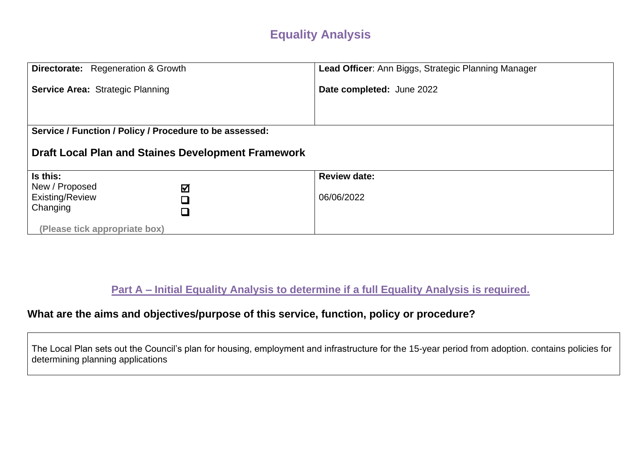## **Equality Analysis**

| Directorate: Regeneration & Growth                           | Lead Officer: Ann Biggs, Strategic Planning Manager |  |
|--------------------------------------------------------------|-----------------------------------------------------|--|
| <b>Service Area: Strategic Planning</b>                      | Date completed: June 2022                           |  |
|                                                              |                                                     |  |
| Service / Function / Policy / Procedure to be assessed:      |                                                     |  |
| <b>Draft Local Plan and Staines Development Framework</b>    |                                                     |  |
| Is this:                                                     | <b>Review date:</b>                                 |  |
| New / Proposed<br>☑<br>Existing/Review<br>Changing<br>$\Box$ | 06/06/2022                                          |  |
| (Please tick appropriate box)                                |                                                     |  |

**Part A – Initial Equality Analysis to determine if a full Equality Analysis is required.**

### **What are the aims and objectives/purpose of this service, function, policy or procedure?**

The Local Plan sets out the Council's plan for housing, employment and infrastructure for the 15-year period from adoption. contains policies for determining planning applications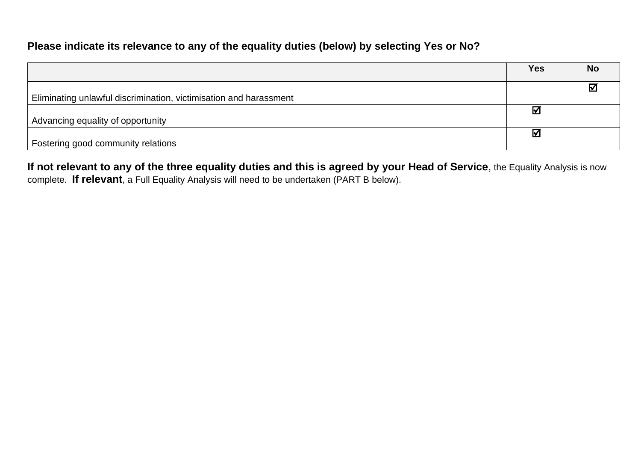#### **Please indicate its relevance to any of the equality duties (below) by selecting Yes or No?**

|                                                                   | Yes                   | <b>No</b>       |
|-------------------------------------------------------------------|-----------------------|-----------------|
|                                                                   |                       | $\triangledown$ |
| Eliminating unlawful discrimination, victimisation and harassment |                       |                 |
|                                                                   | $\boldsymbol{\nabla}$ |                 |
| Advancing equality of opportunity                                 |                       |                 |
|                                                                   | ☑                     |                 |
| Fostering good community relations                                |                       |                 |

**If not relevant to any of the three equality duties and this is agreed by your Head of Service**, the Equality Analysis is now complete. **If relevant**, a Full Equality Analysis will need to be undertaken (PART B below).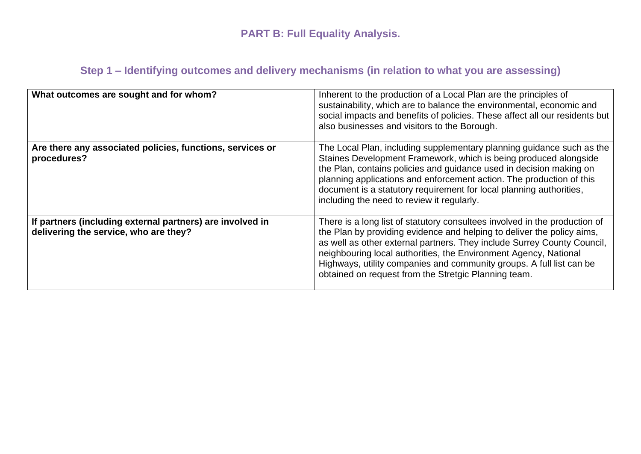# **PART B: Full Equality Analysis.**

## **Step 1 – Identifying outcomes and delivery mechanisms (in relation to what you are assessing)**

| What outcomes are sought and for whom?                                                             | Inherent to the production of a Local Plan are the principles of<br>sustainability, which are to balance the environmental, economic and<br>social impacts and benefits of policies. These affect all our residents but<br>also businesses and visitors to the Borough.                                                                                                                                                             |
|----------------------------------------------------------------------------------------------------|-------------------------------------------------------------------------------------------------------------------------------------------------------------------------------------------------------------------------------------------------------------------------------------------------------------------------------------------------------------------------------------------------------------------------------------|
| Are there any associated policies, functions, services or<br>procedures?                           | The Local Plan, including supplementary planning guidance such as the<br>Staines Development Framework, which is being produced alongside<br>the Plan, contains policies and guidance used in decision making on<br>planning applications and enforcement action. The production of this<br>document is a statutory requirement for local planning authorities,<br>including the need to review it regularly.                       |
| If partners (including external partners) are involved in<br>delivering the service, who are they? | There is a long list of statutory consultees involved in the production of<br>the Plan by providing evidence and helping to deliver the policy aims,<br>as well as other external partners. They include Surrey County Council,<br>neighbouring local authorities, the Environment Agency, National<br>Highways, utility companies and community groups. A full list can be<br>obtained on request from the Stretgic Planning team. |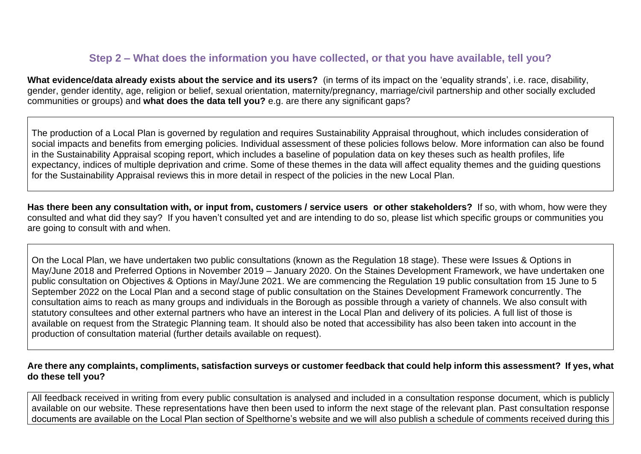#### **Step 2 – What does the information you have collected, or that you have available, tell you?**

**What evidence/data already exists about the service and its users?** (in terms of its impact on the 'equality strands', i.e. race, disability, gender, gender identity, age, religion or belief, sexual orientation, maternity/pregnancy, marriage/civil partnership and other socially excluded communities or groups) and **what does the data tell you?** e.g. are there any significant gaps?

The production of a Local Plan is governed by regulation and requires Sustainability Appraisal throughout, which includes consideration of social impacts and benefits from emerging policies. Individual assessment of these policies follows below. More information can also be found in the Sustainability Appraisal scoping report, which includes a baseline of population data on key theses such as health profiles, life expectancy, indices of multiple deprivation and crime. Some of these themes in the data will affect equality themes and the guiding questions for the Sustainability Appraisal reviews this in more detail in respect of the policies in the new Local Plan.

**Has there been any consultation with, or input from, customers / service users or other stakeholders?** If so, with whom, how were they consulted and what did they say? If you haven't consulted yet and are intending to do so, please list which specific groups or communities you are going to consult with and when.

On the Local Plan, we have undertaken two public consultations (known as the Regulation 18 stage). These were Issues & Options in May/June 2018 and Preferred Options in November 2019 – January 2020. On the Staines Development Framework, we have undertaken one public consultation on Objectives & Options in May/June 2021. We are commencing the Regulation 19 public consultation from 15 June to 5 September 2022 on the Local Plan and a second stage of public consultation on the Staines Development Framework concurrently. The consultation aims to reach as many groups and individuals in the Borough as possible through a variety of channels. We also consult with statutory consultees and other external partners who have an interest in the Local Plan and delivery of its policies. A full list of those is available on request from the Strategic Planning team. It should also be noted that accessibility has also been taken into account in the production of consultation material (further details available on request).

#### **Are there any complaints, compliments, satisfaction surveys or customer feedback that could help inform this assessment? If yes, what do these tell you?**

All feedback received in writing from every public consultation is analysed and included in a consultation response document, which is publicly available on our website. These representations have then been used to inform the next stage of the relevant plan. Past consultation response documents are available on the Local Plan section of Spelthorne's website and we will also publish a schedule of comments received during this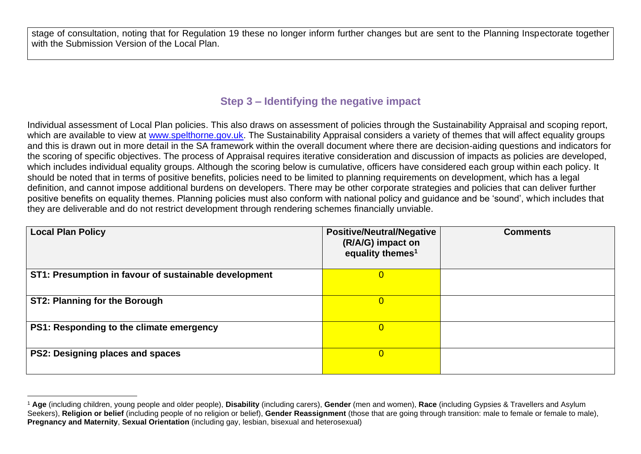stage of consultation, noting that for Regulation 19 these no longer inform further changes but are sent to the Planning Inspectorate together with the Submission Version of the Local Plan.

#### **Step 3 – Identifying the negative impact**

Individual assessment of Local Plan policies. This also draws on assessment of policies through the Sustainability Appraisal and scoping report, which are available to view at [www.spelthorne.gov.uk.](http://www.spelthorne.gov.uk/) The Sustainability Appraisal considers a variety of themes that will affect equality groups and this is drawn out in more detail in the SA framework within the overall document where there are decision-aiding questions and indicators for the scoring of specific objectives. The process of Appraisal requires iterative consideration and discussion of impacts as policies are developed, which includes individual equality groups. Although the scoring below is cumulative, officers have considered each group within each policy. It should be noted that in terms of positive benefits, policies need to be limited to planning requirements on development, which has a legal definition, and cannot impose additional burdens on developers. There may be other corporate strategies and policies that can deliver further positive benefits on equality themes. Planning policies must also conform with national policy and guidance and be 'sound', which includes that they are deliverable and do not restrict development through rendering schemes financially unviable.

| <b>Local Plan Policy</b>                              | <b>Positive/Neutral/Negative</b><br>(R/A/G) impact on<br>equality themes <sup>1</sup> | <b>Comments</b> |
|-------------------------------------------------------|---------------------------------------------------------------------------------------|-----------------|
| ST1: Presumption in favour of sustainable development | $\overline{0}$                                                                        |                 |
| ST2: Planning for the Borough                         | 0                                                                                     |                 |
| PS1: Responding to the climate emergency              | $\overline{0}$                                                                        |                 |
| PS2: Designing places and spaces                      | $\overline{0}$                                                                        |                 |

<sup>1</sup> **Age** (including children, young people and older people), **Disability** (including carers), **Gender** (men and women), **Race** (including Gypsies & Travellers and Asylum Seekers), **Religion or belief** (including people of no religion or belief), **Gender Reassignment** (those that are going through transition: male to female or female to male), **Pregnancy and Maternity**, **Sexual Orientation** (including gay, lesbian, bisexual and heterosexual)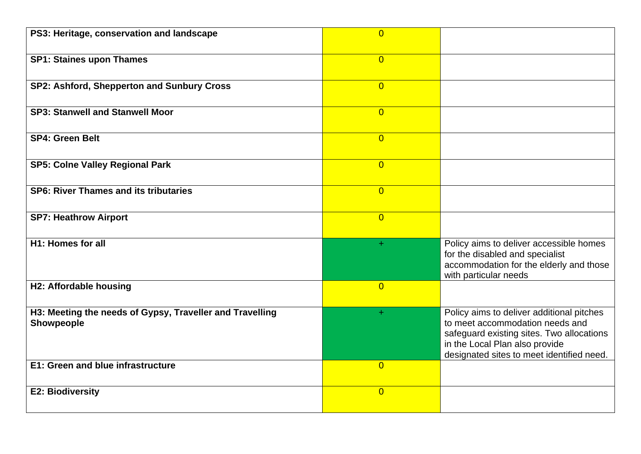| PS3: Heritage, conservation and landscape                              | $\overline{0}$ |                                                                                                                                                                                                          |
|------------------------------------------------------------------------|----------------|----------------------------------------------------------------------------------------------------------------------------------------------------------------------------------------------------------|
| <b>SP1: Staines upon Thames</b>                                        | $\overline{0}$ |                                                                                                                                                                                                          |
| SP2: Ashford, Shepperton and Sunbury Cross                             | $\overline{0}$ |                                                                                                                                                                                                          |
| <b>SP3: Stanwell and Stanwell Moor</b>                                 | $\overline{0}$ |                                                                                                                                                                                                          |
| <b>SP4: Green Belt</b>                                                 | $\overline{0}$ |                                                                                                                                                                                                          |
| <b>SP5: Colne Valley Regional Park</b>                                 | $\overline{0}$ |                                                                                                                                                                                                          |
| <b>SP6: River Thames and its tributaries</b>                           | $\overline{0}$ |                                                                                                                                                                                                          |
| <b>SP7: Heathrow Airport</b>                                           | $\overline{0}$ |                                                                                                                                                                                                          |
| H1: Homes for all                                                      | ÷.             | Policy aims to deliver accessible homes<br>for the disabled and specialist<br>accommodation for the elderly and those<br>with particular needs                                                           |
| H2: Affordable housing                                                 | $\overline{0}$ |                                                                                                                                                                                                          |
| H3: Meeting the needs of Gypsy, Traveller and Travelling<br>Showpeople | ÷.             | Policy aims to deliver additional pitches<br>to meet accommodation needs and<br>safeguard existing sites. Two allocations<br>in the Local Plan also provide<br>designated sites to meet identified need. |
| E1: Green and blue infrastructure                                      | $\overline{0}$ |                                                                                                                                                                                                          |
| <b>E2: Biodiversity</b>                                                | $\overline{0}$ |                                                                                                                                                                                                          |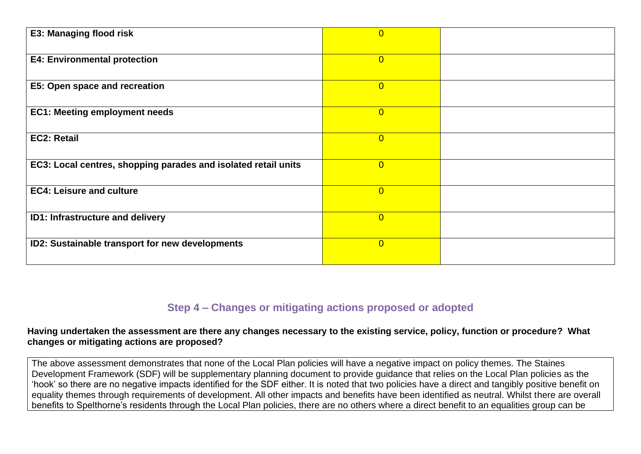| <b>E3: Managing flood risk</b>                                 | $\overline{0}$ |  |
|----------------------------------------------------------------|----------------|--|
|                                                                |                |  |
| <b>E4: Environmental protection</b>                            | $\overline{0}$ |  |
|                                                                |                |  |
| E5: Open space and recreation                                  | $\overline{0}$ |  |
|                                                                |                |  |
| <b>EC1: Meeting employment needs</b>                           | $\overline{0}$ |  |
|                                                                |                |  |
| <b>EC2: Retail</b>                                             | $\overline{0}$ |  |
|                                                                |                |  |
| EC3: Local centres, shopping parades and isolated retail units | $\overline{0}$ |  |
|                                                                |                |  |
| <b>EC4: Leisure and culture</b>                                | $\overline{0}$ |  |
|                                                                |                |  |
| <b>ID1: Infrastructure and delivery</b>                        | $\overline{0}$ |  |
|                                                                |                |  |
| ID2: Sustainable transport for new developments                | $\overline{0}$ |  |
|                                                                |                |  |
|                                                                |                |  |

### **Step 4 – Changes or mitigating actions proposed or adopted**

#### **Having undertaken the assessment are there any changes necessary to the existing service, policy, function or procedure? What changes or mitigating actions are proposed?**

The above assessment demonstrates that none of the Local Plan policies will have a negative impact on policy themes. The Staines Development Framework (SDF) will be supplementary planning document to provide guidance that relies on the Local Plan policies as the 'hook' so there are no negative impacts identified for the SDF either. It is noted that two policies have a direct and tangibly positive benefit on equality themes through requirements of development. All other impacts and benefits have been identified as neutral. Whilst there are overall benefits to Spelthorne's residents through the Local Plan policies, there are no others where a direct benefit to an equalities group can be